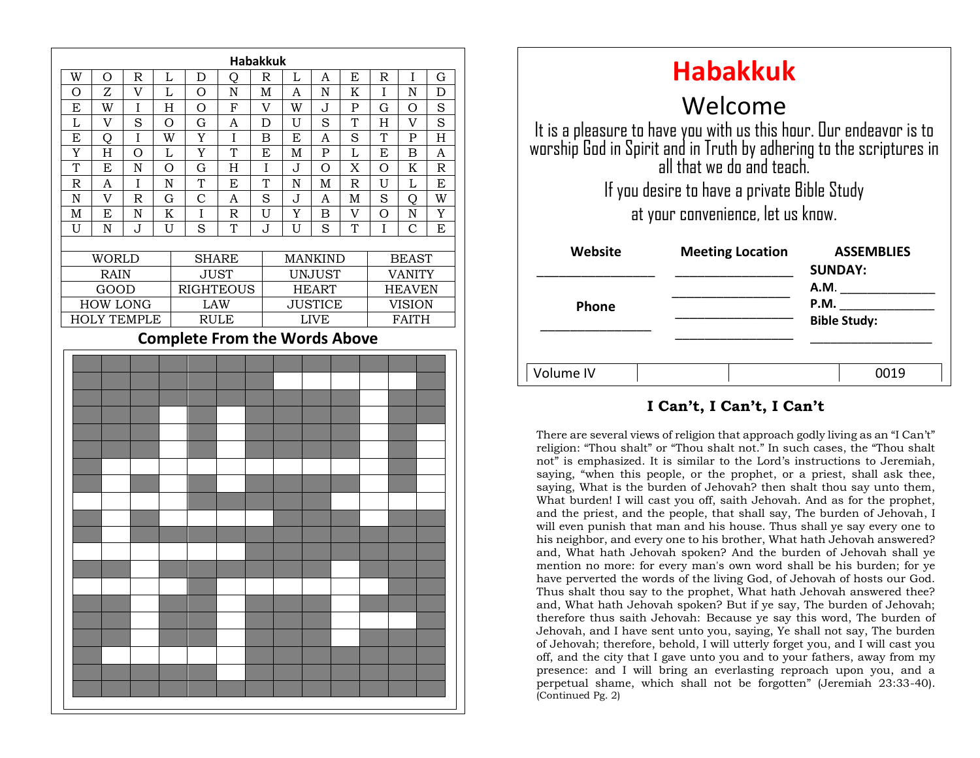

| <b>Habakkuk</b>                                                                                                                                                        |                         |                                     |
|------------------------------------------------------------------------------------------------------------------------------------------------------------------------|-------------------------|-------------------------------------|
| Welcome                                                                                                                                                                |                         |                                     |
| It is a pleasure to have you with us this hour. Our endeavor is to<br>worship God in Spirit and in Truth by adhering to the scriptures in<br>all that we do and teach. |                         |                                     |
| If you desire to have a private Bible Study                                                                                                                            |                         |                                     |
| at your convenience, let us know.                                                                                                                                      |                         |                                     |
| Website                                                                                                                                                                | <b>Meeting Location</b> | <b>ASSEMBLIES</b><br><b>SUNDAY:</b> |
|                                                                                                                                                                        |                         | A.M.                                |
| <b>Phone</b>                                                                                                                                                           |                         | P.M.<br><b>Bible Study:</b>         |
|                                                                                                                                                                        |                         |                                     |
| Volume IV                                                                                                                                                              |                         |                                     |

#### **I Can't, I Can't, I Can't**

saying, when this people, or the prophet, or a proof, shall done them, saying, What is the burden of Jehovah? then shalt thou say unto them, There are several views of religion that approach godly living as an "I Can't" religion: "Thou shalt" or "Thou shalt not." In such cases, the "Thou shalt not" is emphasized. It is similar to the Lord's instructions to Jeremiah, saying, "when this people, or the prophet, or a priest, shall ask thee, What burden! I will cast you off, saith Jehovah. And as for the prophet, and the priest, and the people, that shall say, The burden of Jehovah, I will even punish that man and his house. Thus shall ye say every one to his neighbor, and every one to his brother, What hath Jehovah answered? and, What hath Jehovah spoken? And the burden of Jehovah shall ye mention no more: for every man's own word shall be his burden; for ye have perverted the words of the living God, of Jehovah of hosts our God. Thus shalt thou say to the prophet, What hath Jehovah answered thee? and, What hath Jehovah spoken? But if ye say, The burden of Jehovah; therefore thus saith Jehovah: Because ye say this word, The burden of Jehovah, and I have sent unto you, saying, Ye shall not say, The burden of Jehovah; therefore, behold, I will utterly forget you, and I will cast you off, and the city that I gave unto you and to your fathers, away from my presence: and I will bring an everlasting reproach upon you, and a perpetual shame, which shall not be forgotten" (Jeremiah 23:33-40). (Continued Pg. 2)